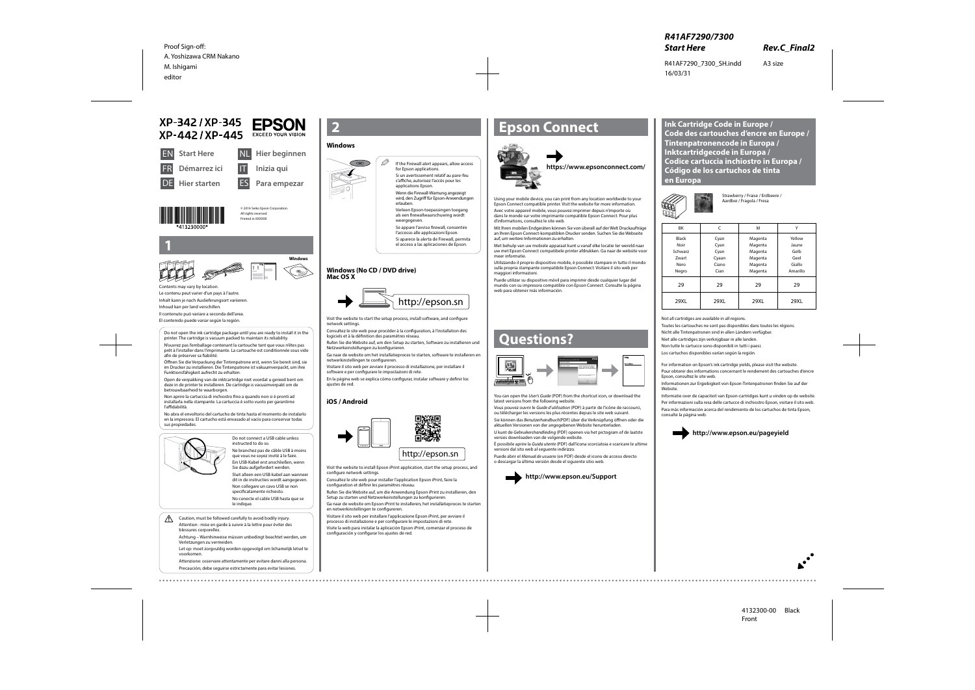© 2016 Seiko Epson Corporation. All rights reserved **Printed in XXXXXX** 









XP-342 / XP-345

**Hier starten** 

Démarrez ici



Do not connect a USB cable unless instructed to do so. Ne branchez pas de câble USB à moins

que vous ne soyez invité à le faire. Ein USB-Kabel erst anschließen, wenn  $\mathscr{D}$  If the Firewall alert appears, allow access for Epson applications.

Sie dazu aufgefordert werden. Sluit alleen een USB-kabel aan wanneer dit in de instructies wordt aangegeven. Non collegare un cavo USB se non specificatamente richiesto. No conecte el cable USB hasta que se

Verleen Epson-toepassingen toegang als een firewallwaarschuwing wordt weergegeven

le indique.



**EPSON** 

**EXCEED YOUR VISION** 

ES **Para empezar**



**1**

Contents may vary by location. Le contenu peut varier d'un pays à l'autre. Inhalt kann je nach Auslieferungsort variieren.

Inhoud kan per land verschillen.

Il contenuto può variare a seconda dell'area.

El contenido puede variar según la región.

Si un avertissement relatif au pare-feu s'affiche, autorisez l'accès pour les applications Epson. Wenn die Firewall-Warnung angezeigt

wird, den Zugriff für Epson-Anwendungen erlauben.

Se appare l'avviso firewall, consentire l'accesso alle applicazioni Epson. Si aparece la alerta de Firewall, permita

el acceso a las aplicaciones de Epson.

Visit the website to start the setup process, install software, and configure network settings.

Consultez le site web pour procéder à la configuration, à l'installation des logiciels et à la définition des paramètres réseau.

Rufen Sie die Website auf, um den Setup zu starten, Software zu installieren und Netzwerkeinstellungen zu konfigurieren.

Ga naar de website om het installatieproces te starten, software te installeren en netwerkinstellingen te configureren.

Visitare il sito web per avviare il processo di installazione, per installare il software e per configurare le impostazioni di rete.

En la página web se explica cómo configurar, instalar software y definir los ajustes de red.

# **Epson Connect**



Using your mobile device, you can print from any location worldwide to your Epson Connect compatible printer. Visit the website for more information.

Avec votre appareil mobile, vous pouvez imprimer depuis n'importe où dans le monde sur votre imprimante compatible Epson Connect. Pour plus d'informations, consultez le site web.

Mit Ihren mobilen Endgeräten können Sie von überall auf der Welt Druckaufträge an Ihren Epson Connect-kompatiblen Drucker senden. Suchen Sie die Webseite auf, um weitere Informationen zu erhalten.

Met behulp van uw mobiele apparaat kunt u vanaf elke locatie ter wereld naar uw met Epson Connect compatibele printer afdrukken. Ga naar de website voor meer informatie.

Utilizzando il proprio dispositivo mobile, è possibile stampare in tutto il mondo sulla propria stampante compatibile Epson Connect. Visitare il sito web per maggiori informazioni.

Puede utilizar su dispositivo móvil para imprimir desde cualquier lugar del mundo con su impresora compatible con Epson Connect. Consulte la página web para obtener más información.

## **https://www.epsonconnect.com/**

## **Questions?**



You can open the *User's Guide* (PDF) from the shortcut icon, or download the latest versions from the following website.

Vous pouvez ouvrir le *Guide d'utilisation* (PDF) à partir de l'icône de raccourci, ou télécharger les versions les plus récentes depuis le site web suivant.

 $\bigwedge$  Caution; must be followed carefully to avoid bodily injury. Attention : mise en garde à suivre à la lettre pour éviter des blessures corporelles.

Sie können das *Benutzerhandbuch*(PDF) über die Verknüpfung öffnen oder die aktuellen Versionen von der angegebenen Website herunterladen.

U kunt de *Gebruikershandleiding* (PDF) openen via het pictogram of de laatste versies downloaden van de volgende website.

È possibile aprire la *Guida utente* (PDF) dall'icona scorciatoia e scaricare le ultime versioni dal sito web al seguente indirizzo.

Puede abrir el *Manual de usuario* (en PDF) desde el icono de acceso directo o descargar la última versión desde el siguiente sitio web.



**http://www.epson.eu/Support**

| BK                                                        | C                                              | M                                                              | v                                                     |
|-----------------------------------------------------------|------------------------------------------------|----------------------------------------------------------------|-------------------------------------------------------|
| <b>Black</b><br>Noir<br>Schwarz<br>Zwart<br>Nero<br>Negro | Cyan<br>Cyan<br>Cyan<br>Cyaan<br>Ciano<br>Cian | Magenta<br>Magenta<br>Magenta<br>Magenta<br>Magenta<br>Magenta | Yellow<br>Jaune<br>Gelb<br>Geel<br>Giallo<br>Amarillo |
| 29                                                        | 29                                             | 29                                                             | 29                                                    |
| 29XL                                                      | 29XL                                           | 29XL                                                           | 29XL                                                  |

Strawberry / Fraise / Erdbeere / Aardbei / Fragola / Fresa

For information on Epson's ink cartridge yields, please visit the website.

Pour obtenir des informations concernant le rendement des cartouches d'encre Epson, consultez le site web.

Informationen zur Ergiebigkeit von Epson-Tintenpatronen finden Sie auf der Website.

Informatie over de capaciteit van Epson-cartridges kunt u vinden op de website.

Per informazioni sulla resa delle cartucce di inchiostro Epson, visitare il sito web. Para más información acerca del rendimiento de los cartuchos de tinta Epson, consulte la página web.





**Ink Cartridge Code in Europe / Code des cartouches d'encre en Europe / Tintenpatronencode in Europa / Inktcartridgecode in Europa / Codice cartuccia inchiostro in Europa / Código de los cartuchos de tinta en Europa** 



Do not open the ink cartridge package until you are ready to install it in the printer. The cartridge is vacuum packed to maintain its reliability.

N'ouvrez pas l'emballage contenant la cartouche tant que vous n'êtes pas prêt à l'installer dans l'imprimante. La cartouche est conditionnée sous vide afin de préserver sa fiabilité.

Öffnen Sie die Verpackung der Tintenpatrone erst, wenn Sie bereit sind, sie im Drucker zu installieren. Die Tintenpatrone ist vakuumverpackt, um ihre Funktionsfähigkeit aufrecht zu erhalten.

Open de verpakking van de inktcartridge niet voordat u gereed bent om deze in de printer te installeren. De cartridge is vacuümverpakt om de betrouwbaarheid te waarborgen.

Non aprire la cartuccia di inchiostro fino a quando non si è pronti ad installarla nella stampante. La cartuccia è sotto vuoto per garantirne l'affidabilità.

No abra el envoltorio del cartucho de tinta hasta el momento de instalarlo en la impresora. El cartucho está envasado al vacío para conservar todas sus propiedades.



## **Windows**



### **Windows (No CD / DVD drive) Mac OS X**

## **iOS / Android**

Visit the website to install Epson iPrint application, start the setup process, and configure network settings.

Consultez le site web pour installer l'application Epson iPrint, faire la configuration et définir les paramètres réseau.

Rufen Sie die Website auf, um die Anwendung Epson iPrint zu installieren, den Setup zu starten und Netzwerkeinstellungen zu konfigurieren.

Ga naar de website om Epson iPrint te installeren, het installatieproces te starten en netwerkinstellingen te configureren.

Visitare il sito web per installare l'applicazione Epson iPrint, per avviare il processo di installazione e per configurare le impostazioni di rete. Visite la web para instalar la aplicación Epson iPrint, comenzar el proceso de configuración y configurar los ajustes de red.

Achtung – Warnhinweise müssen unbedingt beachtet werden, um Verletzungen zu vermeiden.

Let op: moet zorgvuldig worden opgevolgd om lichamelijk letsel te voorkomen.

Attenzione: osservare attentamente per evitare danni alla persona. Precaución; debe seguirse estrictamente para evitar lesiones.

Not all cartridges are available in all regions.

Toutes les cartouches ne sont pas disponibles dans toutes les régions.

Nicht alle Tintenpatronen sind in allen Ländern verfügbar.

Niet alle cartridges zijn verkrijgbaar in alle landen.

Non tutte le cartucce sono disponibili in tutti i paesi.

Los cartuchos disponibles varían según la región.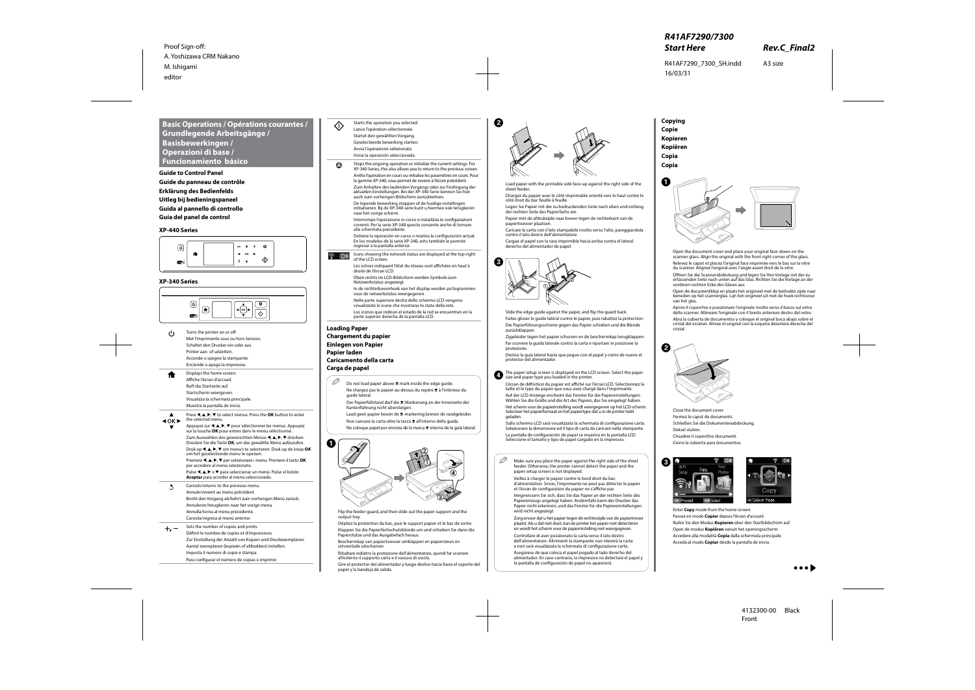#### **XP-440 Series**



#### **XP-340 Series**

## **Basic Operations / Opérations courantes / Grundlegende Arbeitsgänge / Basisbewerkingen / Operazioni di base / Funcionamiento básico**

**Guide to Control Panel Guide du panneau de contrôle Erklärung des Bedienfelds Uitleg bij bedieningspaneel Guida al pannello di controllo Guía del panel de control**



**Loading Paper Chargement du papier Einlegen von Papier Papier laden Caricamento della carta Carga de papel**

 $\mathscr{D}$  Do not load paper above  $\mathbf x$  mark inside the edge guide. Ne chargez pas le papier au-dessus du repère ₹ à l'intérieur du guide latéral. Der Papierfüllstand darf die *I*-Markierung an der Innenseite der



Flip the feeder guard, and then slide out the paper support and the output tray.

Dépliez la protection du bac, puis le support papier et le bac de sortie. Klappen Sie die Papierfachschutzblende um und schieben Sie dann die

Papierstütze und das Ausgabefach heraus. Beschermkap van papiertoevoer omklappen en papiersteun en uitvoerlade uitschuiven.

Ribaltare indietro la protezione dell'alimentatore, quindi far scorrere all'esterno il supporto carta e il vassoio di uscita.

Gire el protector del alimentador y luego deslice hacia fuera el soporte del papel y la bandeja de salida.



B 



Load paper with the printable side face-up against the right side of the sheet feeder.

Chargez du papier avec le côté imprimable orienté vers le haut contre le côté droit du bac feuille à feuille.

Legen Sie Papier mit der zu bedruckenden Seite nach oben und entlang der rechten Seite des Papierfachs ein.

Papier met de afdrukzijde naar boven tegen de rechterkant van de papiertoevoer plaatsen.

Caricare la carta con il lato stampabile rivolto verso l'alto, pareggiandola contro il lato destro dell'alimentatore.

<sup>
•</sup> □ <sup>1</sup> Icons showing the network status are displayed at the top-right of the LCD screen.

> Les icônes indiquant l'état du réseau sont affichées en haut à droite de l'écran LCD.

Cargue el papel con la cara imprimible hacia arriba contra el lateral derecho del alimentador de papel.



Slide the edge guide against the paper, and flip the guard back. Faites glisser le guide latéral contre le papier, puis rabattez la protection. Die Papierführungsschiene gegen das Papier schieben und die Blende zurückklappen.

Kantenführung nicht übersteigen. Laad geen papier boven de  $\Sigma$ -markering binnen de randgeleider.

Non caricare la carta oltre la tacca **▼** all'interno della guida. No coloque papel por encima de la marca  $\Sigma$  interna de la guía lateral. Zijgeleider tegen het papier schuiven en de beschermkap terugklappen. Far scorrere la guida laterale contro la carta e riportare in posizione la protezione.

 $\mathscr{D}$  Make sure you place the paper against the right side of the sheet feeder. Otherwise, the printer cannot detect the paper and the paper setup screen is not displayed.

Deslice la guía lateral hasta que pegue con el papel y cierre de nuevo el protector del alimentador.

**the paper setup screen is displayed on the LCD screen. Select the paper size and paper setup you loaded in the printer.** 

L'écran de définition du papier est affiché sur l'écran LCD. Sélectionnez la taille et le type du papier que vous avez chargé dans l'imprimante. Auf der LCD-Anzeige erscheint das Fenster für die Papiereinstellungen. Wählen Sie die Größe und die Art des Papiers, das Sie eingelegt haben. Het scherm voor de papierinstelling wordt weergegeven op het LCD-scherm. Selecteer het papierformaat en het papiertype dat u in de printer hebt

geladen.

Open de documentklep en plaats het origineel met de bedrukte zijde naar beneden op het scannerglas. Lijn het origineel uit met de hoek rechtsvoor van het glas.

Sullo schermo LCD sarà visualizzata la schermata di configurazione carta. Selezionare la dimensione ed il tipo di carta da caricare nella stampante. La pantalla de configuración de papel se muestra en la pantalla LCD. Seleccione el tamaño y tipo de papel cargado en la impresora.

**Copying Copie Kopieren Kopiëren Copia Copia**





Close the document cover. Fermez le capot de documents. Schließen Sie die Dokumentenabdeckung. Deksel sluiten. Chiudere il coperchio documenti. Cierre la cubierta para documentos.



G



Enter **Copy** mode from the home screen. Passez en mode **Copier** depuis l'écran d'accueil. Rufen Sie den Modus **Kopieren** über den Startbildschirm auf. Open de modus **Kopiëren** vanuit het openingsscherm. Accedere alla modalità **Copia** dalla schermata principale. Acceda al modo **Copiar** desde la pantalla de inicio.



Starts the operation you selected. Lance l'opération sélectionnée. Startet den gewählten Vorgang. Geselecteerde bewerking starten. Avvia l'operazione selezionata. Inicia la operación seleccionada.

人 しょうかん かんじょう

Stops the ongoing operation or initialize the current settings. For ❺ XP-340 Series, this also allows you to return to the previous screen. Arrête l'opération en cours ou initialise les paramètres en cours. Pour la gamme XP-340, vous permet de revenir à l'écran précédent.

> Zum Anhalten des laufenden Vorgangs oder zur Festlegung der aktuellen Einstellungen. Bei der XP-340 Serie können Sie hie auch zum vorherigen Bildschirm zurückkehren.

De lopende bewerking stoppen of de huidige instellingen initialiseren. Bij de XP-340-serie kunt u hiermee ook terugkeren naar het vorige scherm.

Interrompe l'operazione in corso o inizializza le configurazioni correnti. Per la serie XP-340 questo consente anche di tornare alla schermata precedente.

Detiene la operación en curso o resetea la configuración actual. En los modelos de la serie XP-340, esto también le permite regresar a la pantalla anterior.

Oben rechts im LCD-Bildschirm werden Symbole zum Netzwerkstatus angezeigt.

In de rechterbovenhoek van het display worden pictogrammen voor de netwerkstatus weergegeven.

Nelle parte superiore destra dello schermo LCD vengono visualizzate le icone che mostrano lo stato della rete.

Los iconos que indican el estado de la red se encuentran en la parte superior derecha de la pantalla LCD.

> Veillez à charger le papier contre le bord droit du bac d'alimentation. Sinon, l'imprimante ne peut pas détecter le papier et l'écran de configuration du papier ne s'affiche pas.

Vergewissern Sie sich, dass Sie das Papier an der rechten Seite des Papiereinzugs angelegt haben. Andernfalls kann der Drucker das Papier nicht erkennen, und das Fenster für die Papiereinstellungen wird nicht angezeigt.

Zorg ervoor dat u het papier tegen de rechterzijde van de papierinvoer plaatst. Als u dat niet doet, kan de printer het papier niet detecteren en wordt het scherm voor de papierinstelling niet weergegeven.

Controllare di aver posizionato la carta verso il lato destro dell'alimentatore. Altrimenti la stampante non rileverà la carta e non sarà visualizzata la schermata di configurazione carta.

Asegúrese de que coloca el papel pegado al lado derecho del alimentador. En caso contrario, la impresora no detectará el papel y la pantalla de configuración de papel no aparecerá.

Open the document cover and place your original face-down on the scanner glass. Align the original with the front right corner of the glass. Relevez le capot et placez l'original face imprimée vers le bas sur la vitre du scanner. Alignez l'original avec l'angle avant droit de la vitre.

Öffnen Sie die Scannerabdeckung und legen Sie Ihre Vorlage mit der zu erfassenden Seite nach unten auf das Glas. Richten Sie die Vorlage an der vorderen rechten Ecke des Glases aus.

Aprire il coperchio e posizionare l'originale rivolto verso il basso sul vetro dello scanner. Allineare l'originale con il bordo anteriore destro del vetro. Abra la cubierta de documentos y coloque el original boca abajo sobre el cristal del escáner. Alinee el original con la esquina delantera derecha del cristal.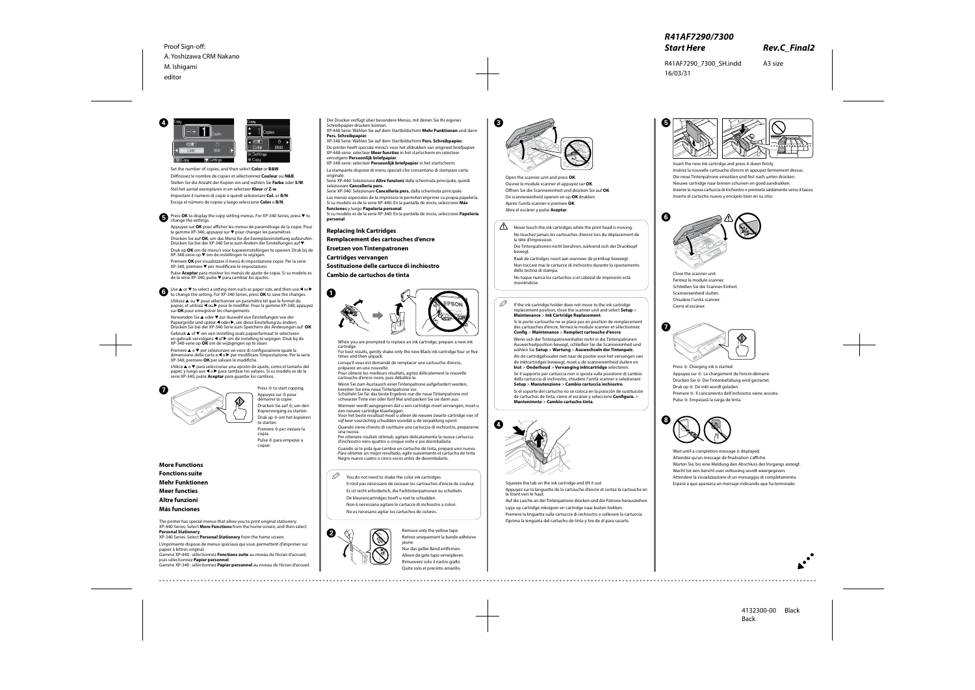**Replacing Ink Cartridges**

**Remplacement des cartouches d'encre**

**Ersetzen von Tintenpatronen**

**Cartridges vervangen**

**Sostituzione delle cartucce di inchiostro**

**Cambio de cartuchos de tinta**

When you are prompted to replace an ink cartridge, prepare a new ink cartridge.

For best results, gently shake only the new Black ink cartridge four or five times and then unpack.

Lorsqu'il vous est demandé de remplacer une cartouche d'encre, préparez-en une nouvelle.

Pour obtenir les meilleurs résultats, agitez délicatement la nouvelle cartouche d'encre noire, puis déballez-la.

Wenn Sie zum Austausch einer Tintenpatrone aufgefordert werden, bereiten Sie eine neue Tintenpatrone vor.

Schütteln Sie für das beste Ergebnis nur die neue Tintenpatrone mit schwarzer Tinte vier oder fünf Mal und packen Sie sie dann aus.

Wanneer wordt aangegeven dat u een cartridge moet vervangen, moet u een nieuwe cartridge klaarleggen.

Voor het beste resultaat moet u alleen de nieuwe zwarte cartridge vier of vijf keer voorzichtig schudden voordat u de verpakking opent.

Quando viene chiesto di sostituire una cartuccia di inchiostro, prepararne una nuova.

Per ottenere risultati ottimali, agitare delicatamente la nuova cartuccia d'inchiostro nero quattro o cinque volte e poi disimballarla.

 $\mathscr{D}$  If the ink cartridge holder does not move to the ink cartridge replacement position, close the scanner unit and select **Setup** > **Maintenance** > **Ink Cartridge Replacement**.

Cuando se le pida que cambie un cartucho de tinta, prepare uno nuevo. Para obtener un mejor resultado, agite suavemente el cartucho de tinta Negro nuevo cuatro o cinco veces antes de desembalarlo.

 $\mathscr{D}$  You do not need to shake the color ink cartridges.

Open the scanner unit and press **OK**. Ouvrez le module scanner et appuyez sur **OK**. Öffnen Sie die Scannereinheit und drücken Sie auf **OK**. De scannereenheid openen en op **OK** drukken. Aprire l'unità scanner e premere **OK**. Abra el escáner y pulse **Aceptar**.

Remove only the yellow tape. Retirez uniquement la bande adhésive jaune. Nur das gelbe Band entfernen. Alleen de gele tape verwijderen.

Rimuovere solo il nastro giallo. Quite solo el precinto amarillo.

Insert the new ink cartridge and press it down firmly. Insérez la nouvelle cartouche d'encre et appuyez fermement dessus. Die neue Tintenpatrone einsetzen und fest nach unten drücken. Nieuwe cartridge naar binnen schuiven en goed aandrukken. Inserire la nuova cartuccia di inchiostro e premerla saldamente verso il basso. Inserte el cartucho nuevo y encájelo bien en su sitio.

**■** Press **OK** to display the copy setting menus. For XP-340 Series, press ▼ to change the settings.

Appuyez sur **OK** pour afficher les menus de paramétrage de la copie. Pour la gamme XP-340, appuyez sur ▼ pour changer les paramètres.

Il n'est pas nécessaire de secouer les cartouches d'encre de couleur.

Es ist nicht erforderlich, die Farbtintenpatronen zu schütteln.

De kleurencartridges hoeft u niet te schudden.

Premere **OK** per visualizzare il menù di impostazione copie. Per la serie  $XP-340$ , premere  $\nabla$  per modificare le impostazioni.

Non è necessario agitare le cartucce di inchiostro a colori.

Pulse **Aceptar** para mostrar los menús de ajuste de copia. Si su modelo es de la serie XP-340, pulse  $\blacktriangledown$  para cambiar los ajustes.

Use ▲ or ▼ to select a setting item such as paper size, and then use ◀ or ▶ to change the setting. For XP-340 Series, press **OK** to save the changes.

No es necesario agitar los cartuchos de colores.

Utilisez ▲ ou ▼ pour sélectionner un paramètre tel que le format du papier, et utilisez  $\triangleleft$  ou  $\triangleright$  pour le modifier. Pour la gamme XP-340, appuyez sur **OK** pour enregistrer les changements.

> Si le porte-cartouche ne se place pas en position de remplacement des cartouches d'encre, fermez le module scanner et sélectionnez **Config** > **Maintenance** > **Remplact cartouche d'encre**.

Verwenden Sie ▲ oder ▼ zur Auswahl von Einstellungen wie der Papiergröße und später < oder >, um diese Einstellung zu ändern. Drücken Sie bei der XP-340 Serie zum Speichern der Änderungen auf **OK**.

Gebruik  $\triangle$  of  $\nabla$  om een instelling zoals papierformaat te selecteren en gebruik vervolgens  $\triangleleft$  of  $\triangleright$  om de instelling te wijzigen. Druk bij de XP-340-serie op **OK** om de wijzigingen op te slaan.

Wenn sich der Tintenpatronenhalter nicht in die Tintenpatronen-Auswechselposition bewegt, schließen Sie die Scannereinheit und wählen Sie **Setup** > **Wartung** > **Auswechseln der Tintenpatr.**

Premere  $\triangle$  o  $\nabla$  per selezionare un voce di configurazione quale la dimensione della carta e < o ▶ per modificare l'impostazione. Per la serie XP-340, premere **OK** per salvare le modifiche.

Utilice  $\triangle$  o  $\nabla$  para seleccionar una opción de ajuste, como el tamaño del papel, y luego use < o > para cambiar los valores. Si su modelo es de la serie XP-340, pulse **Aceptar** para guardar los cambios.



Press  $\diamondsuit$  to start copying. Appuyez sur  $\otimes$  pour démarrer la copie. Drücken Sie auf  $\otimes$ , um den

Kopiervorgang zu starten. Druk op  $\otimes$  om het kopiëren te starten. Premere  $\otimes$  per iniziare la

Als de cartridgehouder niet naar de positie voor het vervangen van de inktcartridges beweegt, moet u de scannereenheid sluiten en **Inst** > **Onderhoud** > **Vervanging inktcartridge** selecteren.

Se il supporto per cartuccia non si sposta sulla posizione di cambio della cartuccia di inchiostro, chiudere l'unità scanner e selezionare **Setup** > **Manutenzione** > **Cambio cartuccia inchiostro**.

Si el soporte del cartucho no se coloca en la posición de sustitución de cartuchos de tinta, cierre el escáner y seleccione **Configura.** > **Mantenimnto** > **Cambio cartucho tinta**.

Squeeze the tab on the ink cartridge and lift it out. Appuyez sur la languette de la cartouche d'encre et sortez la cartouche en la tirant vers le haut.

XP-340-serie: selecteer **Persoonlijk briefpapier** in het startscherm. La stampante dispone di menu speciali che consentono di stampare carta originale

> Auf die Lasche an der Tintenpatrone drücken und die Patrone herausziehen. Lipje op cartridge inknijpen en cartridge naar buiten trekken. Premere la linguetta sulla cartuccia di inchiostro e sollevare la cartuccia. Oprima la lengüeta del cartucho de tinta y tire de él para sacarlo.















 $\bigwedge$  Never touch the ink cartridges while the print head is moving. Ne touchez jamais les cartouches d'encre lors du déplacement de la tête d'impression.

> Close the scanner unit. Fermez le module scanner. Schließen Sie die Scanner-Einheit. Scannereenheid sluiten. Chiudere l'unità scanner. Cierre el escáner.



Set the number of copies, and then select **Color** or **B&W**. Définissez le nombre de copies et sélectionnez **Couleur** ou **N&B**. Stellen Sie die Anzahl der Kopien ein und wählen Sie **Farbe** oder **S/W**. Stel het aantal exemplaren in en selecteer **Kleur** of **Z-w**. Impostare il numero di copie e quindi selezionare **Col.** or **B/N**. Escoja el número de copias y luego seleccione **Color** o **B/N**.

Drücken Sie auf **OK**, um das Menü für die Exemplareinstellung aufzurufen. Drücken Sie bei der XP-340 Serie zum Ändern der Einstellungen auf ▼. Druk op **OK** om de menu's voor kopieerinstellingen te openen. Druk bij de

 $XP-340$ -serie op  $\nabla$  om de instellingen te wijzigen.

copia. Pulse  $\otimes$  para empezar a copiar.

**More Functions Fonctions suite Mehr Funktionen Meer functies Altre funzioni Más funciones**

The printer has special menus that allow you to print original stationery. XP-440 Series: Select **More Functions** from the home screen, and then select **Personal Stationery**.

XP-340 Series: Select **Personal Stationery** from the home screen.

L'imprimante dispose de menus spéciaux qui vous permettent d'imprimer sur papier à lettres original. Gamme XP-440 : sélectionnez **Fonctions suite** au niveau de l'écran d'accueil,

puis sélectionnez **Papier personnel**.

Gamme XP-340 : sélectionnez **Papier personnel** au niveau de l'écran d'accueil.

Der Drucker verfügt über besondere Menüs, mit denen Sie Ihr eigenes Schreibpapier drucken können.

XP-440 Serie: Wählen Sie auf dem Startbildschirm **Mehr Funktionen** und dann **Pers. Schreibpapier**.

XP-340 Serie: Wählen Sie auf dem Startbildschirm **Pers. Schreibpapier**.

De printer heeft speciale menu's voor het afdrukken van origineel briefpapier. XP-440-serie: selecteer **Meer functies** in het startscherm en selecteer vervolgens **Persoonlijk briefpapier**.

Serie XP-440: Selezionare **Altre funzioni** dalla schermata principale, quindi selezionare **Cancelleria pers.**

Serie XP-340: Selezionare **Cancelleria pers.** dalla schermata principale. Los menús especiales de la impresora le permiten imprimir su propia papelería. Si su modelo es de la serie XP-440: En la pantalla de inicio, seleccione **Más funciones** y luego **Papelería personal**.

Si su modelo es de la serie XP-340: En la pantalla de inicio, seleccione **Papelería personal**.

> Die Tintenpatronen nicht berühren, während sich der Druckkopf bewegt.

Raak de cartridges nooit aan wanneer de printkop beweegt.

Non toccare mai le cartucce di inchiostro durante lo spostamento della testina di stampa.

No toque nunca los cartuchos si el cabezal de impresión está moviéndose.



Press  $\otimes$ . Charging ink is started. Appuyez sur  $\lozenge$ . Le chargement de l'encre démarre. Drücken Sie x. Die Tintenbefüllung wird gestartet. Druk op  $\Diamond$ . De inkt wordt geladen. Premere  $\otimes$ . Il caricamento dell'inchiostro viene avviato. Pulse  $\otimes$ . Empezará la carga de tinta.



Wait until a completion message is displayed. Attendez qu'un message de finalisation s'affiche. Warten Sie, bis eine Meldung den Abschluss des Vorgangs anzeigt. Wacht tot een bericht over voltooiing wordt weergegeven. Attendere la visualizzazione di un messaggio di completamento. Espere a que aparezca un mensaje indicando que ha terminado.